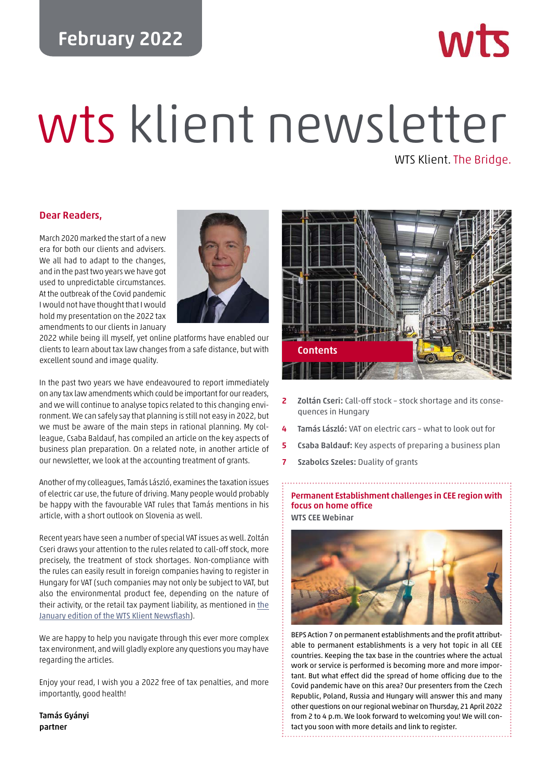# **February 2022**

# wts klient newsletter

WTS Klient. The Bridge.

**MITT** 

# **Dear Readers,**

March 2020 marked the start of a new era for both our clients and advisers. We all had to adapt to the changes, and in the past two years we have got used to unpredictable circumstances. At the outbreak of the Covid pandemic I would not have thought that I would hold my presentation on the 2022 tax amendments to our clients in January



2022 while being ill myself, yet online platforms have enabled our clients to learn about tax law changes from a safe distance, but with excellent sound and image quality.

In the past two years we have endeavoured to report immediately on any tax law amendments which could be important for our readers, and we will continue to analyse topics related to this changing environment. We can safely say that planning is still not easy in 2022, but we must be aware of the main steps in rational planning. My colleague, Csaba Baldauf, has compiled an article on the key aspects of business plan preparation. On a related note, in another article of our newsletter, we look at the accounting treatment of grants.

Another of my colleagues, Tamás László, examines the taxation issues of electric car use, the future of driving. Many people would probably be happy with the favourable VAT rules that Tamás mentions in his article, with a short outlook on Slovenia as well.

Recent years have seen a number of special VAT issues as well. Zoltán Cseri draws your attention to the rules related to call-off stock, more precisely, the treatment of stock shortages. Non-compliance with the rules can easily result in foreign companies having to register in Hungary for VAT (such companies may not only be subject to VAT, but also the environmental product fee, depending on the nature of their activity, or the retail tax payment liability, as mentioned in [the](https://wtsklient.hu/wp-content/uploads/2022/01/wts-klient-newsflash-en-20220107.pdf) [January edition of the WTS Klient Newsflash](https://wtsklient.hu/wp-content/uploads/2022/01/wts-klient-newsflash-en-20220107.pdf)).

We are happy to help you navigate through this ever more complex tax environment, and will gladly explore any questions you may have regarding the articles.

Enjoy your read, I wish you a 2022 free of tax penalties, and more importantly, good health!

**Tamás Gyányi partner**



- **2 Zoltán Cseri:** Call-off stock stock shortage and its consequences in Hungary
- **4 Tamás László:** VAT on electric cars what to look out for
- **5 Csaba Baldauf:** Key aspects of preparing a business plan
- **7 Szabolcs Szeles:** Duality of grants

# **Permanent Establishment challenges in CEE region with focus on home office WTS CEE Webinar**



BEPS Action 7 on permanent establishments and the profit attributable to permanent establishments is a very hot topic in all CEE countries. Keeping the tax base in the countries where the actual work or service is performed is becoming more and more important. But what effect did the spread of home officing due to the Covid pandemic have on this area? Our presenters from the Czech Republic, Poland, Russia and Hungary will answer this and many other questions on our regional webinar on Thursday, 21 April 2022 from 2 to 4 p.m. We look forward to welcoming you! We will contact you soon with more details and link to register.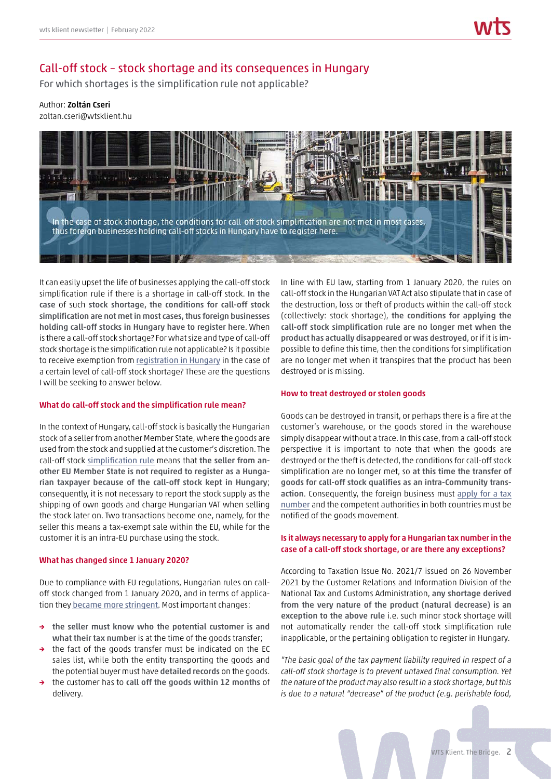# Call-off stock – stock shortage and its consequences in Hungary

For which shortages is the simplification rule not applicable?

Author: **Zoltán Cseri**

zoltan.cseri@wtsklient.hu



It can easily upset the life of businesses applying the call-off stock simplification rule if there is a shortage in call-off stock. **In the case** of such **stock shortage, the conditions for call-off stock simplification are not met in most cases, thus foreign businesses holding call-off stocks in Hungary have to register here**. When is there a call-off stock shortage? For what size and type of call-off stock shortage is the simplification rule not applicable? Is it possible to receive exemption from [registration in Hungary](https://wtsklient.hu/en/2017/06/13/vat-registration/) in the case of a certain level of call-off stock shortage? These are the questions I will be seeking to answer below.

### **What do call-off stock and the simplification rule mean?**

In the context of Hungary, call-off stock is basically the Hungarian stock of a seller from another Member State, where the goods are used from the stock and supplied at the customer's discretion. The call-off stock [simplification rule](https://wtsklient.hu/en/2018/09/25/call-off-stock-simplification-rule/) means that **the seller from another EU Member State is not required to register as a Hungarian taxpayer because of the call-off stock kept in Hungary**; consequently, it is not necessary to report the stock supply as the shipping of own goods and charge Hungarian VAT when selling the stock later on. Two transactions become one, namely, for the seller this means a tax-exempt sale within the EU, while for the customer it is an intra-EU purchase using the stock.

### **What has changed since 1 January 2020?**

Due to compliance with EU regulations, Hungarian rules on calloff stock changed from 1 January 2020, and in terms of application they [became more stringent](https://wtsklient.hu/en/2019/07/16/call-off-stock-rules/). Most important changes:

- **→ the seller must know who the potential customer is and what their tax number** is at the time of the goods transfer;
- **→** the fact of the goods transfer must be indicated on the EC sales list, while both the entity transporting the goods and the potential buyer must have **detailed records** on the goods.
- **→** the customer has to **call off the goods within 12 months** of delivery.

In line with EU law, starting from 1 January 2020, the rules on call-off stock in the Hungarian VAT Act also stipulate that in case of the destruction, loss or theft of products within the call-off stock (collectively: stock shortage), **the conditions for applying the call-off stock simplification rule are no longer met when the product has actually disappeared or was destroyed**, or if it is impossible to define this time, then the conditions for simplification are no longer met when it transpires that the product has been destroyed or is missing.

### **How to treat destroyed or stolen goods**

Goods can be destroyed in transit, or perhaps there is a fire at the customer's warehouse, or the goods stored in the warehouse simply disappear without a trace. In this case, from a call-off stock perspective it is important to note that when the goods are destroyed or the theft is detected, the conditions for call-off stock simplification are no longer met, so **at this time the transfer of goods for call-off stock qualifies as an intra-Community transaction**. Consequently, the foreign business must [apply for a tax](https://wtsklient.hu/en/2017/02/07/vat-registered-taxpayer-now-also-defined-in-law/) [number](https://wtsklient.hu/en/2017/02/07/vat-registered-taxpayer-now-also-defined-in-law/) and the competent authorities in both countries must be notified of the goods movement.

# **Is it always necessary to apply for a Hungarian tax number in the case of a call-off stock shortage, or are there any exceptions?**

According to Taxation Issue No. 2021/7 issued on 26 November 2021 by the Customer Relations and Information Division of the National Tax and Customs Administration, **any shortage derived from the very nature of the product (natural decrease) is an exception to the above rule** i.e. such minor stock shortage will not automatically render the call-off stock simplification rule inapplicable, or the pertaining obligation to register in Hungary.

*"The basic goal of the tax payment liability required in respect of a call-off stock shortage is to prevent untaxed final consumption. Yet the nature of the product may also result in a stock shortage, but this is due to a natural "decrease" of the product (e.g. perishable food,*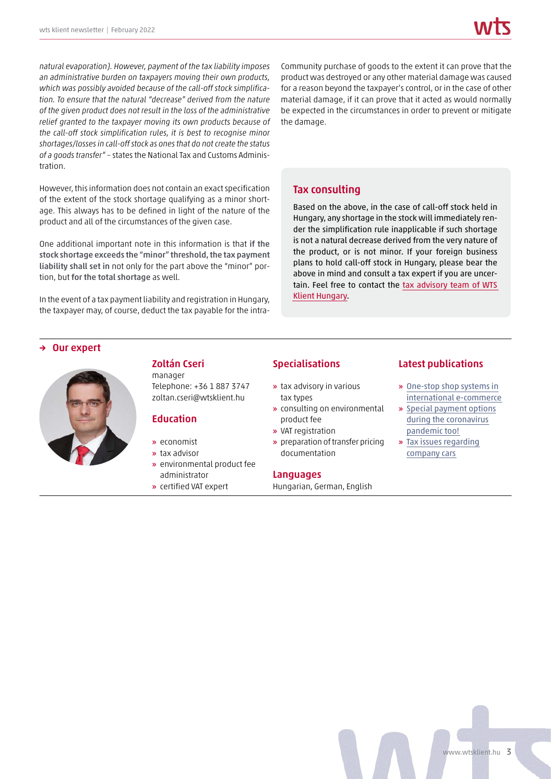*natural evaporation). However, payment of the tax liability imposes an administrative burden on taxpayers moving their own products, which was possibly avoided because of the call-off stock simplification. To ensure that the natural "decrease" derived from the nature of the given product does not result in the loss of the administrative relief granted to the taxpayer moving its own products because of the call-off stock simplification rules, it is best to recognise minor shortages/losses in call-off stock as ones that do not create the status of a goods transfer"* – states the National Tax and Customs Administration.

However, this information does not contain an exact specification of the extent of the stock shortage qualifying as a minor shortage. This always has to be defined in light of the nature of the product and all of the circumstances of the given case.

One additional important note in this information is that **if the stock shortage exceeds the "minor" threshold, the tax payment liability shall set in** not only for the part above the "minor" portion, but **for the total shortage** as well.

In the event of a tax payment liability and registration in Hungary, the taxpayer may, of course, deduct the tax payable for the intra-

Community purchase of goods to the extent it can prove that the product was destroyed or any other material damage was caused for a reason beyond the taxpayer's control, or in the case of other material damage, if it can prove that it acted as would normally be expected in the circumstances in order to prevent or mitigate the damage.

# **Tax consulting**

Based on the above, in the case of call-off stock held in Hungary, any shortage in the stock will immediately render the simplification rule inapplicable if such shortage is not a natural decrease derived from the very nature of the product, or is not minor. If your foreign business plans to hold call-off stock in Hungary, please bear the above in mind and consult a tax expert if you are uncertain. Feel free to contact the [tax advisory team of WTS](https://wtsklient.hu/en/services/tax-consulting/) [Klient Hungary.](https://wtsklient.hu/en/services/tax-consulting/)

# **Our expert**



# **Zoltán Cseri** manager

Telephone: +36 1 887 3747 zoltan.cseri@wtsklient.hu

# **Education**

- **»** economist
- **»** tax advisor
- **»** environmental product fee administrator
- **»** certified VAT expert

# **Specialisations**

- **»** tax advisory in various tax types
- **»** consulting on environmental product fee
- **»** VAT registration
- **»** preparation of transfer pricing documentation

### **Languages**

Hungarian, German, English

# **Latest publications**

- **»** One-stop shop systems in [international e-commerce](https://wtsklient.hu/en/2021/03/05/one-stop-shop-systems/)
- **»** [Special payment options](https://wtsklient.hu/en/2020/04/21/special-payment-options/) during the coronavirus pandemic too!
- **»** [Tax issues regarding](https://wtsklient.hu/en/2019/10/08/company-cars/) company cars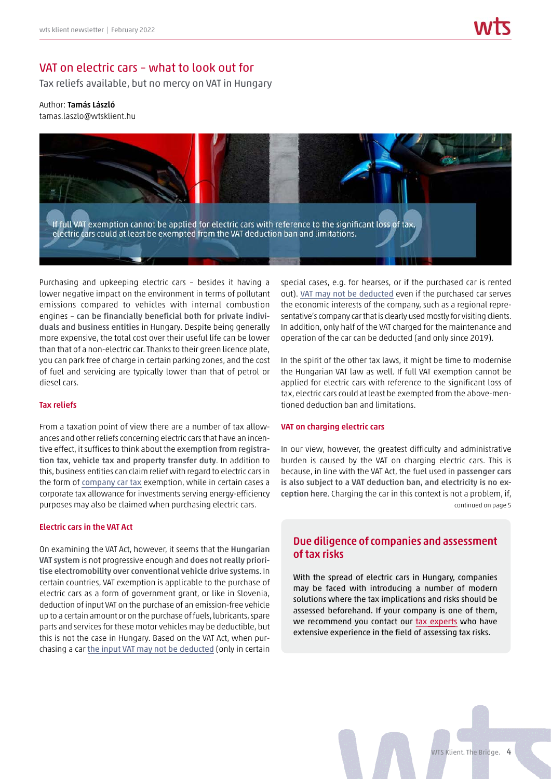# VAT on electric cars – what to look out for

Tax reliefs available, but no mercy on VAT in Hungary

# Author: **Tamás László**

tamas.laszlo@wtsklient.hu



Purchasing and upkeeping electric cars – besides it having a lower negative impact on the environment in terms of pollutant emissions compared to vehicles with internal combustion engines – **can be financially beneficial both for private individuals and business entities** in Hungary. Despite being generally more expensive, the total cost over their useful life can be lower than that of a non-electric car. Thanks to their green licence plate, you can park free of charge in certain parking zones, and the cost of fuel and servicing are typically lower than that of petrol or diesel cars.

### **Tax reliefs**

From a taxation point of view there are a number of tax allowances and other reliefs concerning electric cars that have an incentive effect, it suffices to think about the **exemption from registration tax, vehicle tax and property transfer duty**. In addition to this, business entities can claim relief with regard to electric cars in the form of [company car tax](https://wtsklient.hu/en/2019/10/08/company-cars/) exemption, while in certain cases a corporate tax allowance for investments serving energy-efficiency purposes may also be claimed when purchasing electric cars.

### **Electric cars in the VAT Act**

On examining the VAT Act, however, it seems that the **Hungarian VAT system** is not progressive enough and **does not really prioritise electromobility over conventional vehicle drive systems**. In certain countries, VAT exemption is applicable to the purchase of electric cars as a form of government grant, or like in Slovenia, deduction of input VAT on the purchase of an emission-free vehicle up to a certain amount or on the purchase of fuels, lubricants, spare parts and services for these motor vehicles may be deductible, but this is not the case in Hungary. Based on the VAT Act, when purchasing a car [the input VAT may not be deducted](https://wtsklient.hu/en/2020/10/19/2021-tax-law-amendments/) (only in certain special cases, e.g. for hearses, or if the purchased car is rented out). [VAT may not be deducted](https://wtsklient.hu/en/2018/06/05/right-for-a-refund-of-vat/) even if the purchased car serves the economic interests of the company, such as a regional representative's company car that is clearly used mostly for visiting clients. In addition, only half of the VAT charged for the maintenance and operation of the car can be deducted (and only since 2019).

In the spirit of the other tax laws, it might be time to modernise the Hungarian VAT law as well. If full VAT exemption cannot be applied for electric cars with reference to the significant loss of tax, electric cars could at least be exempted from the above-mentioned deduction ban and limitations.

### **VAT on charging electric cars**

In our view, however, the greatest difficulty and administrative burden is caused by the VAT on charging electric cars. This is because, in line with the VAT Act, the fuel used in **passenger cars is also subject to a VAT deduction ban, and electricity is no exception here**. Charging the car in this context is not a problem, if, continued on page 5

# **Due diligence of companies and assessment of tax risks**

With the spread of electric cars in Hungary, companies may be faced with introducing a number of modern solutions where the tax implications and risks should be assessed beforehand. If your company is one of them, we recommend you contact our [tax experts](https://wtsklient.hu/en/services/due-diligence-of-companies-and-assassment-of-tax-risks/) who have extensive experience in the field of assessing tax risks.

WTS Klient. The Bridge. 4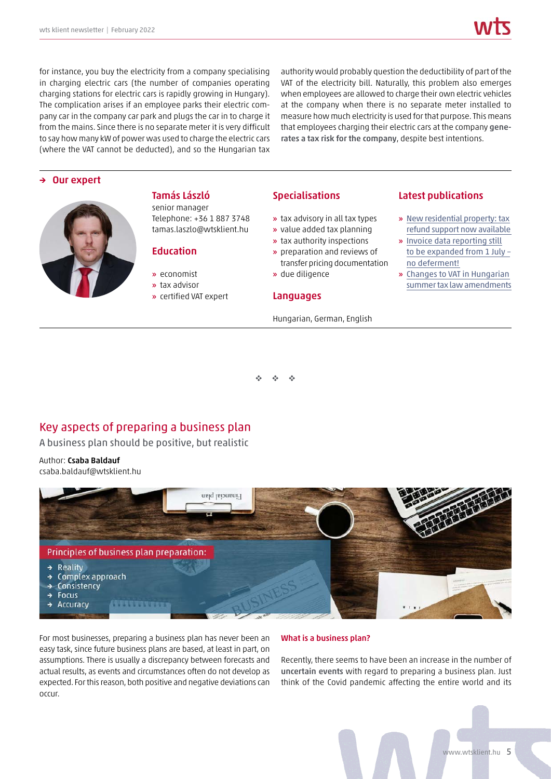for instance, you buy the electricity from a company specialising in charging electric cars (the number of companies operating charging stations for electric cars is rapidly growing in Hungary). The complication arises if an employee parks their electric company car in the company car park and plugs the car in to charge it from the mains. Since there is no separate meter it is very difficult to say how many kW of power was used to charge the electric cars (where the VAT cannot be deducted), and so the Hungarian tax

authority would probably question the deductibility of part of the VAT of the electricity bill. Naturally, this problem also emerges when employees are allowed to charge their own electric vehicles at the company when there is no separate meter installed to measure how much electricity is used for that purpose. This means that employees charging their electric cars at the company **generates a tax risk for the company**, despite best intentions.

# **→ Our expert**



# Telephone: +36 1 887 3748 tamas.laszlo@wtsklient.hu

**Tamás László** senior manager

- **Education**
- **»** economist
- **»** tax advisor
- **»** certified VAT expert

### **Specialisations**

- **»** tax advisory in all tax types
- **»** value added tax planning
- **»** tax authority inspections
- **»** preparation and reviews of transfer pricing documentation
- **»** due diligence

### **Languages**

### Hungarian, German, English

# **Latest publications**

- **»** [New residential property: tax](https://wtsklient.hu/en/2021/04/20/new-residential-property/) refund support now available
- **»** Invoice data reporting still [to be expanded from 1 July –](https://wtsklient.hu/en/2020/06/09/invoice-data-reporting/) no deferment!
- **»** Changes to VAT in Hungarian [summer tax law amendments](https://wtsklient.hu/en/2019/07/30/changes-to-vat/)

- --

# Key aspects of preparing a business plan

A business plan should be positive, but realistic

Author: **Csaba Baldauf** csaba.baldauf@wtsklient.hu



For most businesses, preparing a business plan has never been an easy task, since future business plans are based, at least in part, on assumptions. There is usually a discrepancy between forecasts and actual results, as events and circumstances often do not develop as expected. For this reason, both positive and negative deviations can occur.

### **What is a business plan?**

Recently, there seems to have been an increase in the number of **uncertain events** with regard to preparing a business plan. Just think of the Covid pandemic affecting the entire world and its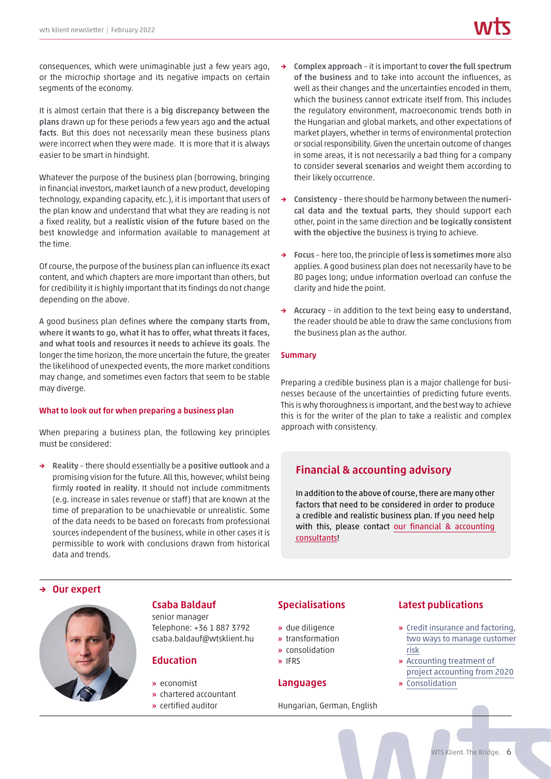consequences, which were unimaginable just a few years ago, or the microchip shortage and its negative impacts on certain segments of the economy.

It is almost certain that there is a **big discrepancy between the plans** drawn up for these periods a few years ago **and the actual facts**. But this does not necessarily mean these business plans were incorrect when they were made. It is more that it is always easier to be smart in hindsight.

Whatever the purpose of the business plan (borrowing, bringing in financial investors, market launch of a new product, developing technology, expanding capacity, etc.), it is important that users of the plan know and understand that what they are reading is not a fixed reality, but a **realistic vision of the future** based on the best knowledge and information available to management at the time.

Of course, the purpose of the business plan can influence its exact content, and which chapters are more important than others, but for credibility it is highly important that its findings do not change depending on the above.

A good business plan defines **where the company starts from, where it wants to go, what it has to offer, what threats it faces, and what tools and resources it needs to achieve its goals**. The longer the time horizon, the more uncertain the future, the greater the likelihood of unexpected events, the more market conditions may change, and sometimes even factors that seem to be stable may diverge.

### **What to look out for when preparing a business plan**

When preparing a business plan, the following key principles must be considered:

**→ Reality** – there should essentially be a **positive outlook** and a promising vision for the future. All this, however, whilst being firmly **rooted in reality**. It should not include commitments (e.g. increase in sales revenue or staff) that are known at the time of preparation to be unachievable or unrealistic. Some of the data needs to be based on forecasts from professional sources independent of the business, while in other cases it is permissible to work with conclusions drawn from historical data and trends.

- **→ Complex approach** it is important to **cover the full spectrum of the business** and to take into account the influences, as well as their changes and the uncertainties encoded in them, which the business cannot extricate itself from. This includes the regulatory environment, macroeconomic trends both in the Hungarian and global markets, and other expectations of market players, whether in terms of environmental protection or social responsibility. Given the uncertain outcome of changes in some areas, it is not necessarily a bad thing for a company to consider **several scenarios** and weight them according to their likely occurrence.
- **→ Consistency** there should be harmony between the **numerical data and the textual parts**, they should support each other, point in the same direction and **be logically consistent with the objective** the business is trying to achieve.
- **→ Focus** here too, the principle of **less is sometimes more** also applies. A good business plan does not necessarily have to be 80 pages long; undue information overload can confuse the clarity and hide the point.
- **→ Accuracy** in addition to the text being **easy to understand**, the reader should be able to draw the same conclusions from the business plan as the author.

### **Summary**

Preparing a credible business plan is a major challenge for businesses because of the uncertainties of predicting future events. This is why thoroughness is important, and the best way to achieve this is for the writer of the plan to take a realistic and complex approach with consistency.

# **Financial & accounting advisory**

In addition to the above of course, there are many other factors that need to be considered in order to produce a credible and realistic business plan. If you need help with this, please contact [our financial & accounting](https://wtsklient.hu/en/services/financial-accounting-advisory-services/) [consultants!](https://wtsklient.hu/en/services/financial-accounting-advisory-services/)

### **→ Our expert**



# **Csaba Baldauf**

senior manager Telephone: +36 1 887 3792 csaba.baldauf@wtsklient.hu

# **Education**

- **»** economist
- **»** chartered accountant
- **»** certified auditor

# **Specialisations**

- **»** due diligence
- **»** transformation
- **»** consolidation
- **»** IFRS

# **Languages**

Hungarian, German, English

# **Latest publications**

- **»** Credit insurance and factoring, [two ways to manage customer](https://wtsklient.hu/en/2021/02/09/credit-insurance/) risk
- **»** Accounting treatment of [project accounting from 2020](https://wtsklient.hu/en/2020/03/10/project-accounting/) **»** [Consolidation](https://wtsklient.hu/en/2019/06/04/consolidation/)
-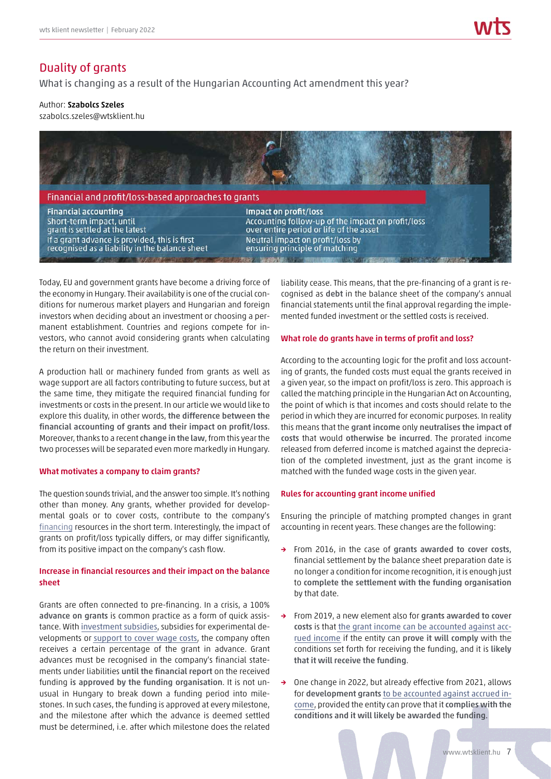# Duality of grants

What is changing as a result of the Hungarian Accounting Act amendment this year?

Author: **Szabolcs Szeles**

szabolcs.szeles@wtsklient.hu



Today, EU and government grants have become a driving force of the economy in Hungary. Their availability is one of the crucial conditions for numerous market players and Hungarian and foreign investors when deciding about an investment or choosing a permanent establishment. Countries and regions compete for investors, who cannot avoid considering grants when calculating the return on their investment.

A production hall or machinery funded from grants as well as wage support are all factors contributing to future success, but at the same time, they mitigate the required financial funding for investments or costs in the present. In our article we would like to explore this duality, in other words, **the difference between the financial accounting of grants and their impact on profit/loss**. Moreover, thanks to a recent **change in the law**, from this year the two processes will be separated even more markedly in Hungary.

### **What motivates a company to claim grants?**

The question sounds trivial, and the answer too simple. It's nothing other than money. Any grants, whether provided for developmental goals or to cover costs, contribute to the company's [financing](https://wtsklient.hu/en/2017/09/14/financing/) resources in the short term. Interestingly, the impact of grants on profit/loss typically differs, or may differ significantly, from its positive impact on the company's cash flow.

# **Increase in financial resources and their impact on the balance sheet**

Grants are often connected to pre-financing. In a crisis, a 100% **advance on grants** is common practice as a form of quick assistance. With [investment subsidies](https://wtsklient.hu/en/2020/04/27/competitiveness-subsidy/), subsidies for experimental developments or [support to cover wage costs](https://wtsklient.hu/en/2021/01/21/wage-support/), the company often receives a certain percentage of the grant in advance. Grant advances must be recognised in the company's financial statements under liabilities **until the financial report** on the received funding **is approved by the funding organisation**. It is not unusual in Hungary to break down a funding period into milestones. In such cases, the funding is approved at every milestone, and the milestone after which the advance is deemed settled must be determined, i.e. after which milestone does the related liability cease. This means, that the pre-financing of a grant is recognised as **debt** in the balance sheet of the company's annual financial statements until the final approval regarding the implemented funded investment or the settled costs is received.

# **What role do grants have in terms of profit and loss?**

According to the accounting logic for the profit and loss accounting of grants, the funded costs must equal the grants received in a given year, so the impact on profit/loss is zero. This approach is called the matching principle in the Hungarian Act on Accounting, the point of which is that incomes and costs should relate to the period in which they are incurred for economic purposes. In reality this means that the **grant income** only **neutralises the impact of costs** that would **otherwise be incurred**. The prorated income released from deferred income is matched against the depreciation of the completed investment, just as the grant income is matched with the funded wage costs in the given year.

### **Rules for accounting grant income unified**

Ensuring the principle of matching prompted changes in grant accounting in recent years. These changes are the following:

- **→** From 2016, in the case of **grants awarded to cover costs**, financial settlement by the balance sheet preparation date is no longer a condition for income recognition, it is enough just to **complete the settlement with the funding organisation** by that date.
- **→** From 2019, a new element also for **grants awarded to cover costs** is that [the grant income can be accounted against acc](https://wtsklient.hu/en/2018/07/18/changes-in-accounting-rules/)[rued income](https://wtsklient.hu/en/2018/07/18/changes-in-accounting-rules/) if the entity can **prove it will comply** with the conditions set forth for receiving the funding, and it is **likely that it will receive the funding**.
- One change in 2022, but already effective from 2021, allows for **development grants** [to be accounted against accrued in](https://wtsklient.hu/en/2021/05/21/spring-tax-law-amendments/)[come](https://wtsklient.hu/en/2021/05/21/spring-tax-law-amendments/), provided the entity can prove that it **complies with the conditions and it will likely be awarded** the **funding**.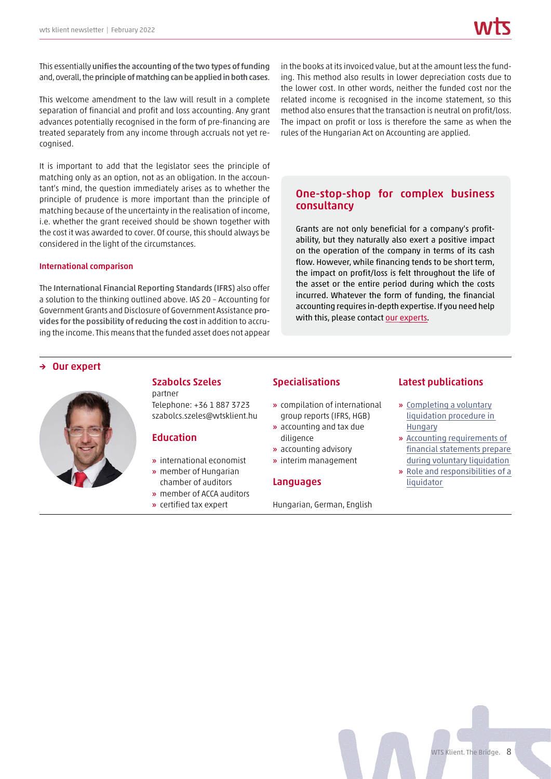This essentially **unifies the accounting of the two types of funding** and, overall, the**principle of matching can be applied in both cases**.

This welcome amendment to the law will result in a complete separation of financial and profit and loss accounting. Any grant advances potentially recognised in the form of pre-financing are treated separately from any income through accruals not yet recognised.

It is important to add that the legislator sees the principle of matching only as an option, not as an obligation. In the accountant's mind, the question immediately arises as to whether the principle of prudence is more important than the principle of matching because of the uncertainty in the realisation of income, i.e. whether the grant received should be shown together with the cost it was awarded to cover. Of course, this should always be considered in the light of the circumstances.

### **International comparison**

The **International Financial Reporting Standards (IFRS)** also offer a solution to the thinking outlined above. IAS 20 – Accounting for Government Grants and Disclosure of Government Assistance **provides for the possibility of reducing the cost** in addition to accruing the income. This means that the funded asset does not appear in the books at its invoiced value, but at the amount less the funding. This method also results in lower depreciation costs due to the lower cost. In other words, neither the funded cost nor the related income is recognised in the income statement, so this method also ensures that the transaction is neutral on profit/loss. The impact on profit or loss is therefore the same as when the rules of the Hungarian Act on Accounting are applied.

# **One-stop-shop for complex business consultancy**

Grants are not only beneficial for a company's profitability, but they naturally also exert a positive impact on the operation of the company in terms of its cash flow. However, while financing tends to be short term, the impact on profit/loss is felt throughout the life of the asset or the entire period during which the costs incurred. Whatever the form of funding, the financial accounting requires in-depth expertise. If you need help with this, please contact [our experts.](https://wtsklient.hu/en/services/)

# **→ Our expert**



# **Szabolcs Szeles**

partner Telephone: +36 1 887 3723 szabolcs.szeles@wtsklient.hu

# **Education**

- **»** international economist
- **»** member of Hungarian chamber of auditors
- **»** member of ACCA auditors
- **»** certified tax expert

# **Specialisations**

- **»** compilation of international group reports (IFRS, HGB)
- **»** accounting and tax due diligence
- **»** accounting advisory
- **»** interim management

# **Languages**

Hungarian, German, English

# **Latest publications**

- **»** [Completing a voluntary](https://wtsklient.hu/en/2021/05/18/completing-a-voluntary-liquidation-procedure/) liquidation procedure in Hungary
- **»** Accounting requirements of [financial statements prepare](https://wtsklient.hu/en/2020/09/15/financial-statements-during-voluntary-liquidation/) during voluntary liquidation
- **»** [Role and responsibilities of a](https://wtsklient.hu/en/2019/12/12/liquidator/) liquidator